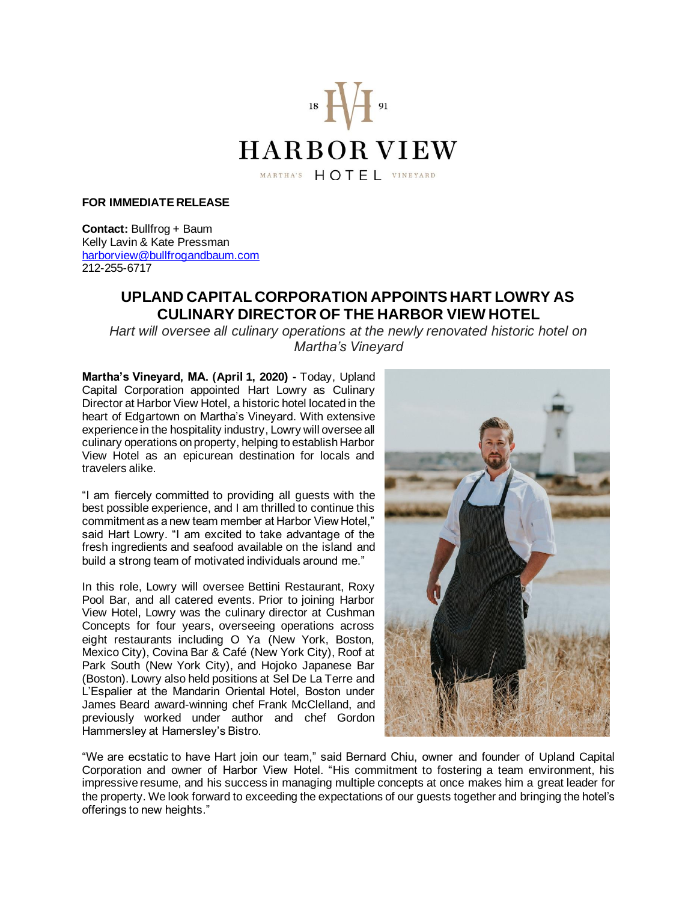

**FOR IMMEDIATE RELEASE**

**Contact:** Bullfrog + Baum Kelly Lavin & Kate Pressman [harborview@bullfrogandbaum.com](mailto:harborview@bullfrogandbaum.com) 212-255-6717

## **UPLAND CAPITAL CORPORATION APPOINTS HART LOWRY AS CULINARY DIRECTOR OF THE HARBOR VIEW HOTEL**

*Hart will oversee all culinary operations at the newly renovated historic hotel on Martha's Vineyard*

**Martha's Vineyard, MA. (April 1, 2020) -** Today, Upland Capital Corporation appointed Hart Lowry as Culinary Director at Harbor View Hotel, a historic hotel located in the heart of Edgartown on Martha's Vineyard. With extensive experience in the hospitality industry, Lowry will oversee all culinary operations on property, helping to establish Harbor View Hotel as an epicurean destination for locals and travelers alike.

"I am fiercely committed to providing all guests with the best possible experience, and I am thrilled to continue this commitment as a new team member at Harbor View Hotel," said Hart Lowry. "I am excited to take advantage of the fresh ingredients and seafood available on the island and build a strong team of motivated individuals around me."

In this role, Lowry will oversee Bettini Restaurant, Roxy Pool Bar, and all catered events. Prior to joining Harbor View Hotel, Lowry was the culinary director at Cushman Concepts for four years, overseeing operations across eight restaurants including O Ya (New York, Boston, Mexico City), Covina Bar & Café (New York City), Roof at Park South (New York City), and Hojoko Japanese Bar (Boston). Lowry also held positions at Sel De La Terre and L'Espalier at the Mandarin Oriental Hotel, Boston under James Beard award-winning chef Frank McClelland, and previously worked under author and chef Gordon Hammersley at Hamersley's Bistro.



"We are ecstatic to have Hart join our team," said Bernard Chiu, owner and founder of Upland Capital Corporation and owner of Harbor View Hotel. "His commitment to fostering a team environment, his impressive resume, and his success in managing multiple concepts at once makes him a great leader for the property. We look forward to exceeding the expectations of our guests together and bringing the hotel's offerings to new heights."